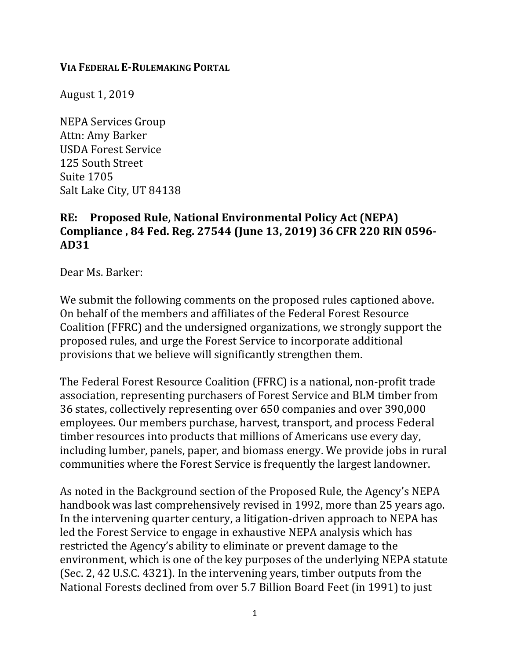## **VIA FEDERAL E-RULEMAKING PORTAL**

August 1, 2019

NEPA Services Group Attn: Amy Barker USDA Forest Service 125 South Street Suite 1705 Salt Lake City, UT 84138

## **RE: Proposed Rule, National Environmental Policy Act (NEPA) Compliance , 84 Fed. Reg. 27544 (June 13, 2019) 36 CFR 220 RIN 0596- AD31**

Dear Ms. Barker:

We submit the following comments on the proposed rules captioned above. On behalf of the members and affiliates of the Federal Forest Resource Coalition (FFRC) and the undersigned organizations, we strongly support the proposed rules, and urge the Forest Service to incorporate additional provisions that we believe will significantly strengthen them.

The Federal Forest Resource Coalition (FFRC) is a national, non-profit trade association, representing purchasers of Forest Service and BLM timber from 36 states, collectively representing over 650 companies and over 390,000 employees. Our members purchase, harvest, transport, and process Federal timber resources into products that millions of Americans use every day, including lumber, panels, paper, and biomass energy. We provide jobs in rural communities where the Forest Service is frequently the largest landowner.

As noted in the Background section of the Proposed Rule, the Agency's NEPA handbook was last comprehensively revised in 1992, more than 25 years ago. In the intervening quarter century, a litigation-driven approach to NEPA has led the Forest Service to engage in exhaustive NEPA analysis which has restricted the Agency's ability to eliminate or prevent damage to the environment, which is one of the key purposes of the underlying NEPA statute (Sec. 2, 42 U.S.C. 4321). In the intervening years, timber outputs from the National Forests declined from over 5.7 Billion Board Feet (in 1991) to just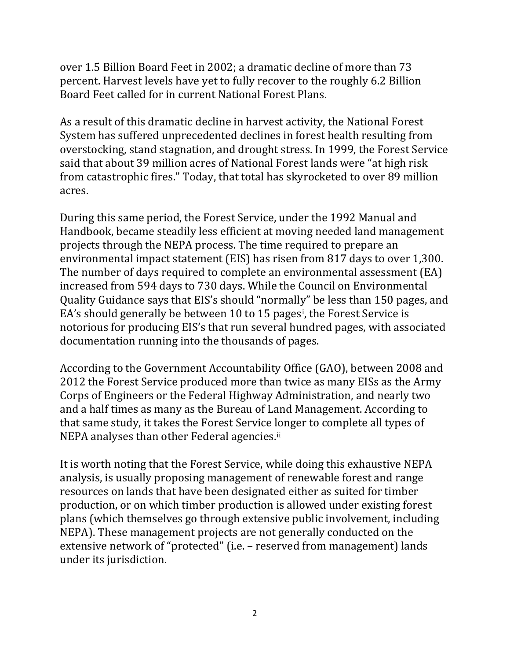over 1.5 Billion Board Feet in 2002; a dramatic decline of more than 73 percent. Harvest levels have yet to fully recover to the roughly 6.2 Billion Board Feet called for in current National Forest Plans.

As a result of this dramatic decline in harvest activity, the National Forest System has suffered unprecedented declines in forest health resulting from overstocking, stand stagnation, and drought stress. In 1999, the Forest Service said that about 39 million acres of National Forest lands were "at high risk from catastrophic fires." Today, that total has skyrocketed to over 89 million acres.

During this same period, the Forest Service, under the 1992 Manual and Handbook, became steadily less efficient at moving needed land management projects through the NEPA process. The time required to prepare an environmental impact statement (EIS) has risen from 817 days to over 1,300. The number of days required to complete an environmental assessment (EA) increased from 594 days to 730 days. While the Council on Environmental Quality Guidance says that EIS's should "normally" be less than 150 pages, and EA's should generally be between 10 to 15 pages[i](#page-10-0) , the Forest Service is notorious for producing EIS's that run several hundred pages, with associated documentation running into the thousands of pages.

According to the Government Accountability Office (GAO), between 2008 and 2012 the Forest Service produced more than twice as many EISs as the Army Corps of Engineers or the Federal Highway Administration, and nearly two and a half times as many as the Bureau of Land Management. According to that same study, it takes the Forest Service longer to complete all types of NEPA analyses than other Federal agencies.<sup>ii</sup>

It is worth noting that the Forest Service, while doing this exhaustive NEPA analysis, is usually proposing management of renewable forest and range resources on lands that have been designated either as suited for timber production, or on which timber production is allowed under existing forest plans (which themselves go through extensive public involvement, including NEPA). These management projects are not generally conducted on the extensive network of "protected" (i.e. – reserved from management) lands under its jurisdiction.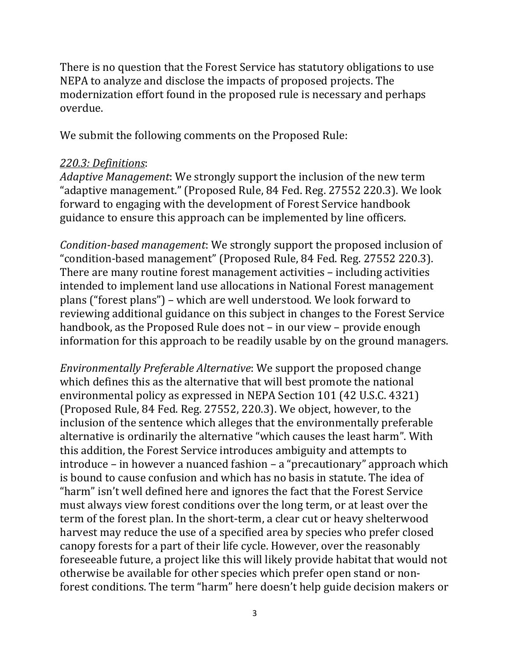There is no question that the Forest Service has statutory obligations to use NEPA to analyze and disclose the impacts of proposed projects. The modernization effort found in the proposed rule is necessary and perhaps overdue.

We submit the following comments on the Proposed Rule:

## *220.3: Definitions*:

*Adaptive Management*: We strongly support the inclusion of the new term "adaptive management." (Proposed Rule, 84 Fed. Reg. 27552 220.3). We look forward to engaging with the development of Forest Service handbook guidance to ensure this approach can be implemented by line officers.

*Condition-based management*: We strongly support the proposed inclusion of "condition-based management" (Proposed Rule, 84 Fed. Reg. 27552 220.3). There are many routine forest management activities – including activities intended to implement land use allocations in National Forest management plans ("forest plans") – which are well understood. We look forward to reviewing additional guidance on this subject in changes to the Forest Service handbook, as the Proposed Rule does not – in our view – provide enough information for this approach to be readily usable by on the ground managers.

*Environmentally Preferable Alternative*: We support the proposed change which defines this as the alternative that will best promote the national environmental policy as expressed in NEPA Section 101 (42 U.S.C. 4321) (Proposed Rule, 84 Fed. Reg. 27552, 220.3). We object, however, to the inclusion of the sentence which alleges that the environmentally preferable alternative is ordinarily the alternative "which causes the least harm". With this addition, the Forest Service introduces ambiguity and attempts to introduce – in however a nuanced fashion – a "precautionary" approach which is bound to cause confusion and which has no basis in statute. The idea of "harm" isn't well defined here and ignores the fact that the Forest Service must always view forest conditions over the long term, or at least over the term of the forest plan. In the short-term, a clear cut or heavy shelterwood harvest may reduce the use of a specified area by species who prefer closed canopy forests for a part of their life cycle. However, over the reasonably foreseeable future, a project like this will likely provide habitat that would not otherwise be available for other species which prefer open stand or nonforest conditions. The term "harm" here doesn't help guide decision makers or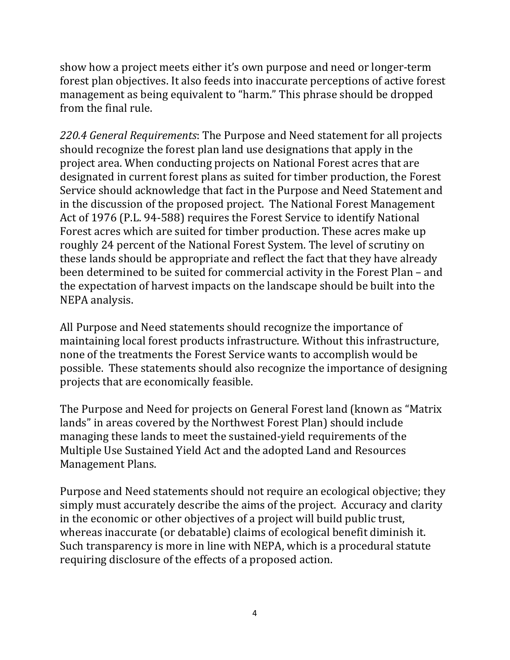show how a project meets either it's own purpose and need or longer-term forest plan objectives. It also feeds into inaccurate perceptions of active forest management as being equivalent to "harm." This phrase should be dropped from the final rule.

*220.4 General Requirements*: The Purpose and Need statement for all projects should recognize the forest plan land use designations that apply in the project area. When conducting projects on National Forest acres that are designated in current forest plans as suited for timber production, the Forest Service should acknowledge that fact in the Purpose and Need Statement and in the discussion of the proposed project. The National Forest Management Act of 1976 (P.L. 94-588) requires the Forest Service to identify National Forest acres which are suited for timber production. These acres make up roughly 24 percent of the National Forest System. The level of scrutiny on these lands should be appropriate and reflect the fact that they have already been determined to be suited for commercial activity in the Forest Plan – and the expectation of harvest impacts on the landscape should be built into the NEPA analysis.

All Purpose and Need statements should recognize the importance of maintaining local forest products infrastructure. Without this infrastructure, none of the treatments the Forest Service wants to accomplish would be possible. These statements should also recognize the importance of designing projects that are economically feasible.

The Purpose and Need for projects on General Forest land (known as "Matrix lands" in areas covered by the Northwest Forest Plan) should include managing these lands to meet the sustained-yield requirements of the Multiple Use Sustained Yield Act and the adopted Land and Resources Management Plans.

Purpose and Need statements should not require an ecological objective; they simply must accurately describe the aims of the project. Accuracy and clarity in the economic or other objectives of a project will build public trust, whereas inaccurate (or debatable) claims of ecological benefit diminish it. Such transparency is more in line with NEPA, which is a procedural statute requiring disclosure of the effects of a proposed action.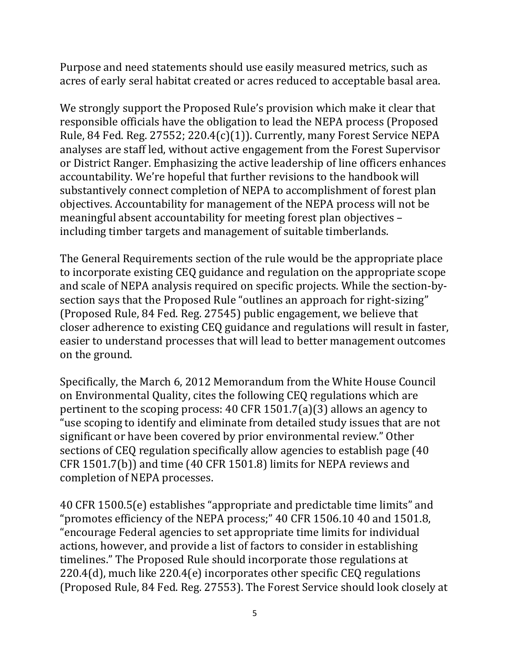Purpose and need statements should use easily measured metrics, such as acres of early seral habitat created or acres reduced to acceptable basal area.

We strongly support the Proposed Rule's provision which make it clear that responsible officials have the obligation to lead the NEPA process (Proposed Rule, 84 Fed. Reg. 27552; 220.4(c)(1)). Currently, many Forest Service NEPA analyses are staff led, without active engagement from the Forest Supervisor or District Ranger. Emphasizing the active leadership of line officers enhances accountability. We're hopeful that further revisions to the handbook will substantively connect completion of NEPA to accomplishment of forest plan objectives. Accountability for management of the NEPA process will not be meaningful absent accountability for meeting forest plan objectives – including timber targets and management of suitable timberlands.

The General Requirements section of the rule would be the appropriate place to incorporate existing CEQ guidance and regulation on the appropriate scope and scale of NEPA analysis required on specific projects. While the section-bysection says that the Proposed Rule "outlines an approach for right-sizing" (Proposed Rule, 84 Fed. Reg. 27545) public engagement, we believe that closer adherence to existing CEQ guidance and regulations will result in faster, easier to understand processes that will lead to better management outcomes on the ground.

Specifically, the March 6, 2012 Memorandum from the White House Council on Environmental Quality, cites the following CEQ regulations which are pertinent to the scoping process: 40 CFR 1501.7(a)(3) allows an agency to "use scoping to identify and eliminate from detailed study issues that are not significant or have been covered by prior environmental review." Other sections of CEQ regulation specifically allow agencies to establish page (40 CFR 1501.7(b)) and time (40 CFR 1501.8) limits for NEPA reviews and completion of NEPA processes.

40 CFR 1500.5(e) establishes "appropriate and predictable time limits" and "promotes efficiency of the NEPA process;" 40 CFR 1506.10 40 and 1501.8, "encourage Federal agencies to set appropriate time limits for individual actions, however, and provide a list of factors to consider in establishing timelines." The Proposed Rule should incorporate those regulations at 220.4(d), much like 220.4(e) incorporates other specific CEQ regulations (Proposed Rule, 84 Fed. Reg. 27553). The Forest Service should look closely at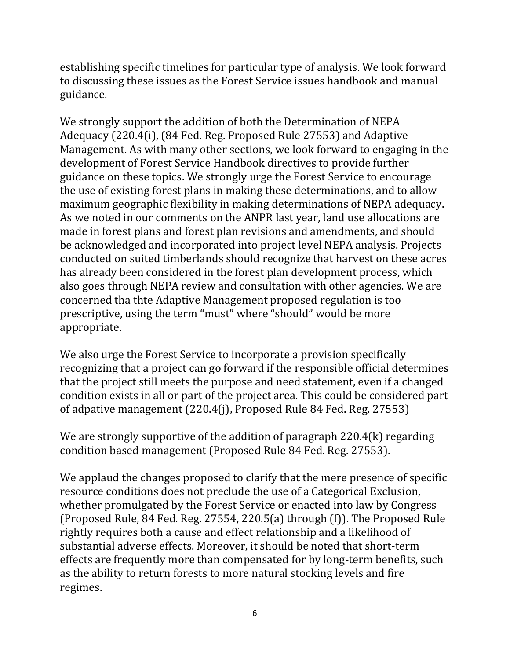establishing specific timelines for particular type of analysis. We look forward to discussing these issues as the Forest Service issues handbook and manual guidance.

We strongly support the addition of both the Determination of NEPA Adequacy (220.4(i), (84 Fed. Reg. Proposed Rule 27553) and Adaptive Management. As with many other sections, we look forward to engaging in the development of Forest Service Handbook directives to provide further guidance on these topics. We strongly urge the Forest Service to encourage the use of existing forest plans in making these determinations, and to allow maximum geographic flexibility in making determinations of NEPA adequacy. As we noted in our comments on the ANPR last year, land use allocations are made in forest plans and forest plan revisions and amendments, and should be acknowledged and incorporated into project level NEPA analysis. Projects conducted on suited timberlands should recognize that harvest on these acres has already been considered in the forest plan development process, which also goes through NEPA review and consultation with other agencies. We are concerned tha thte Adaptive Management proposed regulation is too prescriptive, using the term "must" where "should" would be more appropriate.

We also urge the Forest Service to incorporate a provision specifically recognizing that a project can go forward if the responsible official determines that the project still meets the purpose and need statement, even if a changed condition exists in all or part of the project area. This could be considered part of adpative management (220.4(j), Proposed Rule 84 Fed. Reg. 27553)

We are strongly supportive of the addition of paragraph 220.4(k) regarding condition based management (Proposed Rule 84 Fed. Reg. 27553).

We applaud the changes proposed to clarify that the mere presence of specific resource conditions does not preclude the use of a Categorical Exclusion, whether promulgated by the Forest Service or enacted into law by Congress (Proposed Rule, 84 Fed. Reg. 27554, 220.5(a) through (f)). The Proposed Rule rightly requires both a cause and effect relationship and a likelihood of substantial adverse effects. Moreover, it should be noted that short-term effects are frequently more than compensated for by long-term benefits, such as the ability to return forests to more natural stocking levels and fire regimes.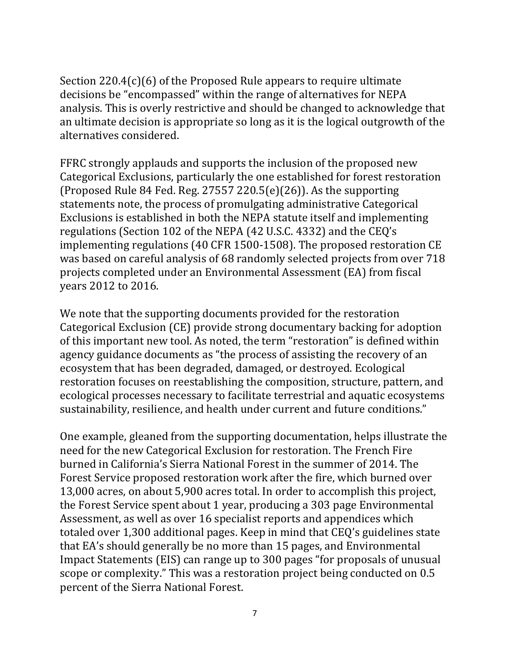Section 220.4(c)(6) of the Proposed Rule appears to require ultimate decisions be "encompassed" within the range of alternatives for NEPA analysis. This is overly restrictive and should be changed to acknowledge that an ultimate decision is appropriate so long as it is the logical outgrowth of the alternatives considered.

FFRC strongly applauds and supports the inclusion of the proposed new Categorical Exclusions, particularly the one established for forest restoration (Proposed Rule 84 Fed. Reg. 27557 220.5(e)(26)). As the supporting statements note, the process of promulgating administrative Categorical Exclusions is established in both the NEPA statute itself and implementing regulations (Section 102 of the NEPA (42 U.S.C. 4332) and the CEQ's implementing regulations (40 CFR 1500-1508). The proposed restoration CE was based on careful analysis of 68 randomly selected projects from over 718 projects completed under an Environmental Assessment (EA) from fiscal years 2012 to 2016.

We note that the supporting documents provided for the restoration Categorical Exclusion (CE) provide strong documentary backing for adoption of this important new tool. As noted, the term "restoration" is defined within agency guidance documents as "the process of assisting the recovery of an ecosystem that has been degraded, damaged, or destroyed. Ecological restoration focuses on reestablishing the composition, structure, pattern, and ecological processes necessary to facilitate terrestrial and aquatic ecosystems sustainability, resilience, and health under current and future conditions."

One example, gleaned from the supporting documentation, helps illustrate the need for the new Categorical Exclusion for restoration. The French Fire burned in California's Sierra National Forest in the summer of 2014. The Forest Service proposed restoration work after the fire, which burned over 13,000 acres, on about 5,900 acres total. In order to accomplish this project, the Forest Service spent about 1 year, producing a 303 page Environmental Assessment, as well as over 16 specialist reports and appendices which totaled over 1,300 additional pages. Keep in mind that CEQ's guidelines state that EA's should generally be no more than 15 pages, and Environmental Impact Statements (EIS) can range up to 300 pages "for proposals of unusual scope or complexity." This was a restoration project being conducted on 0.5 percent of the Sierra National Forest.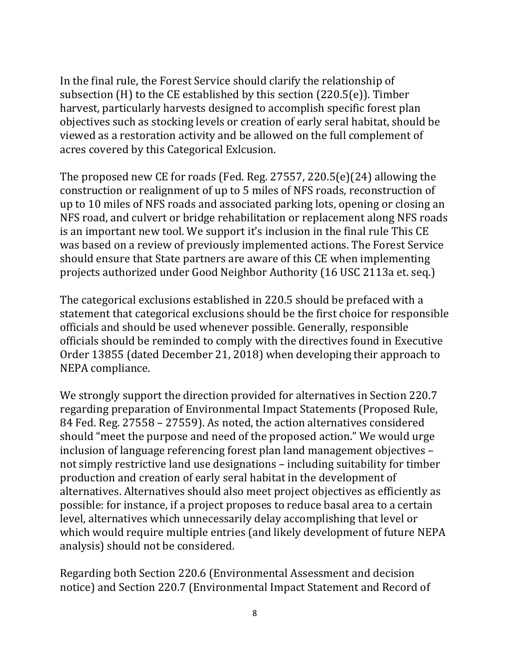In the final rule, the Forest Service should clarify the relationship of subsection (H) to the CE established by this section (220.5(e)). Timber harvest, particularly harvests designed to accomplish specific forest plan objectives such as stocking levels or creation of early seral habitat, should be viewed as a restoration activity and be allowed on the full complement of acres covered by this Categorical Exlcusion.

The proposed new CE for roads (Fed. Reg. 27557, 220.5(e)(24) allowing the construction or realignment of up to 5 miles of NFS roads, reconstruction of up to 10 miles of NFS roads and associated parking lots, opening or closing an NFS road, and culvert or bridge rehabilitation or replacement along NFS roads is an important new tool. We support it's inclusion in the final rule This CE was based on a review of previously implemented actions. The Forest Service should ensure that State partners are aware of this CE when implementing projects authorized under Good Neighbor Authority (16 USC 2113a et. seq.)

The categorical exclusions established in 220.5 should be prefaced with a statement that categorical exclusions should be the first choice for responsible officials and should be used whenever possible. Generally, responsible officials should be reminded to comply with the directives found in Executive Order 13855 (dated December 21, 2018) when developing their approach to NEPA compliance.

We strongly support the direction provided for alternatives in Section 220.7 regarding preparation of Environmental Impact Statements (Proposed Rule, 84 Fed. Reg. 27558 – 27559). As noted, the action alternatives considered should "meet the purpose and need of the proposed action." We would urge inclusion of language referencing forest plan land management objectives – not simply restrictive land use designations – including suitability for timber production and creation of early seral habitat in the development of alternatives. Alternatives should also meet project objectives as efficiently as possible: for instance, if a project proposes to reduce basal area to a certain level, alternatives which unnecessarily delay accomplishing that level or which would require multiple entries (and likely development of future NEPA analysis) should not be considered.

Regarding both Section 220.6 (Environmental Assessment and decision notice) and Section 220.7 (Environmental Impact Statement and Record of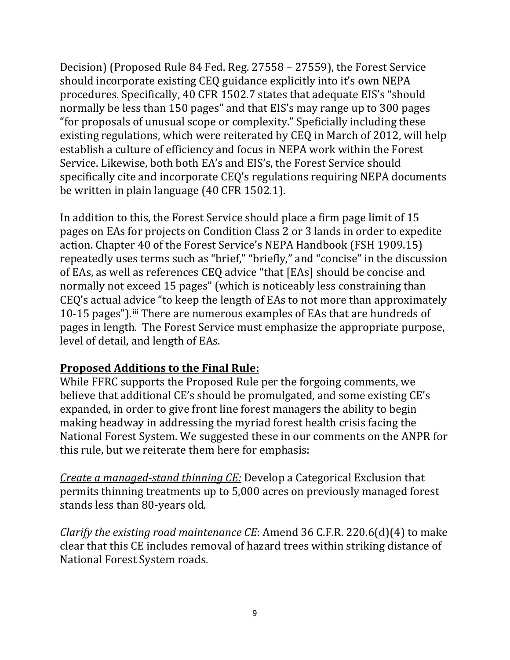Decision) (Proposed Rule 84 Fed. Reg. 27558 – 27559), the Forest Service should incorporate existing CEQ guidance explicitly into it's own NEPA procedures. Specifically, 40 CFR 1502.7 states that adequate EIS's "should normally be less than 150 pages" and that EIS's may range up to 300 pages "for proposals of unusual scope or complexity." Speficially including these existing regulations, which were reiterated by CEQ in March of 2012, will help establish a culture of efficiency and focus in NEPA work within the Forest Service. Likewise, both both EA's and EIS's, the Forest Service should specifically cite and incorporate CEQ's regulations requiring NEPA documents be written in plain language (40 CFR 1502.1).

In addition to this, the Forest Service should place a firm page limit of 15 pages on EAs for projects on Condition Class 2 or 3 lands in order to expedite action. Chapter 40 of the Forest Service's NEPA Handbook (FSH 1909.15) repeatedly uses terms such as "brief," "briefly," and "concise" in the discussion of EAs, as well as references CEQ advice "that [EAs] should be concise and normally not exceed 15 pages" (which is noticeably less constraining than CEQ's actual advice "to keep the length of EAs to not more than approximately 10-15 pages").[iii](#page-11-0) There are numerous examples of EAs that are hundreds of pages in length. The Forest Service must emphasize the appropriate purpose, level of detail, and length of EAs.

## **Proposed Additions to the Final Rule:**

While FFRC supports the Proposed Rule per the forgoing comments, we believe that additional CE's should be promulgated, and some existing CE's expanded, in order to give front line forest managers the ability to begin making headway in addressing the myriad forest health crisis facing the National Forest System. We suggested these in our comments on the ANPR for this rule, but we reiterate them here for emphasis:

*Create a managed-stand thinning CE:* Develop a Categorical Exclusion that permits thinning treatments up to 5,000 acres on previously managed forest stands less than 80-years old.

*Clarify the existing road maintenance CE*: Amend 36 C.F.R. 220.6(d)(4) to make clear that this CE includes removal of hazard trees within striking distance of National Forest System roads.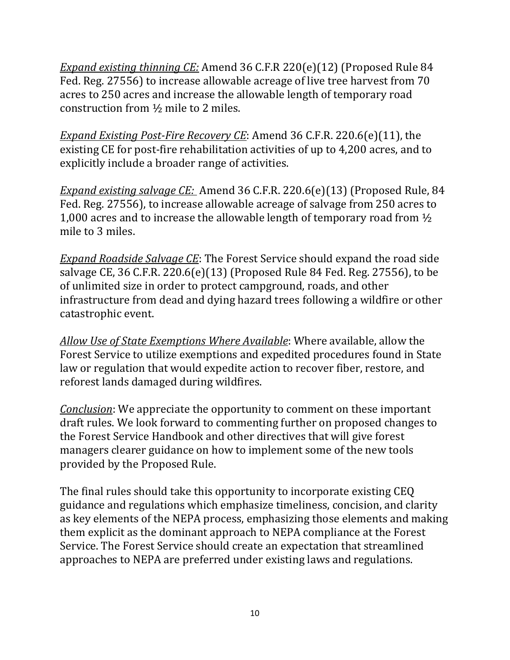*Expand existing thinning CE:* Amend 36 C.F.R 220(e)(12) (Proposed Rule 84 Fed. Reg. 27556) to increase allowable acreage of live tree harvest from 70 acres to 250 acres and increase the allowable length of temporary road construction from ½ mile to 2 miles.

*Expand Existing Post-Fire Recovery CE*: Amend 36 C.F.R. 220.6(e)(11), the existing CE for post-fire rehabilitation activities of up to 4,200 acres, and to explicitly include a broader range of activities.

*Expand existing salvage CE:* Amend 36 C.F.R. 220.6(e)(13) (Proposed Rule, 84 Fed. Reg. 27556), to increase allowable acreage of salvage from 250 acres to 1,000 acres and to increase the allowable length of temporary road from ½ mile to 3 miles.

*Expand Roadside Salvage CE*: The Forest Service should expand the road side salvage CE, 36 C.F.R. 220.6(e)(13) (Proposed Rule 84 Fed. Reg. 27556), to be of unlimited size in order to protect campground, roads, and other infrastructure from dead and dying hazard trees following a wildfire or other catastrophic event.

*Allow Use of State Exemptions Where Available*: Where available, allow the Forest Service to utilize exemptions and expedited procedures found in State law or regulation that would expedite action to recover fiber, restore, and reforest lands damaged during wildfires.

*Conclusion*: We appreciate the opportunity to comment on these important draft rules. We look forward to commenting further on proposed changes to the Forest Service Handbook and other directives that will give forest managers clearer guidance on how to implement some of the new tools provided by the Proposed Rule.

The final rules should take this opportunity to incorporate existing CEQ guidance and regulations which emphasize timeliness, concision, and clarity as key elements of the NEPA process, emphasizing those elements and making them explicit as the dominant approach to NEPA compliance at the Forest Service. The Forest Service should create an expectation that streamlined approaches to NEPA are preferred under existing laws and regulations.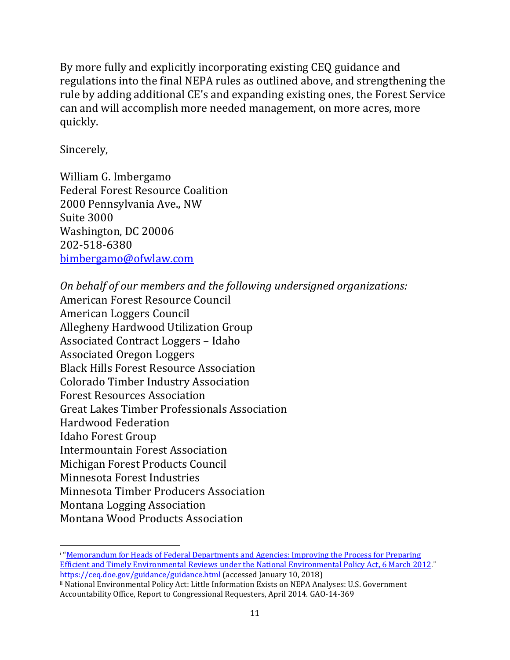By more fully and explicitly incorporating existing CEQ guidance and regulations into the final NEPA rules as outlined above, and strengthening the rule by adding additional CE's and expanding existing ones, the Forest Service can and will accomplish more needed management, on more acres, more quickly.

Sincerely,

William G. Imbergamo Federal Forest Resource Coalition 2000 Pennsylvania Ave., NW Suite 3000 Washington, DC 20006 202-518-6380 [bimbergamo@ofwlaw.com](mailto:bimbergamo@ofwlaw.com)

*On behalf of our members and the following undersigned organizations:* American Forest Resource Council American Loggers Council Allegheny Hardwood Utilization Group Associated Contract Loggers – Idaho Associated Oregon Loggers Black Hills Forest Resource Association Colorado Timber Industry Association Forest Resources Association Great Lakes Timber Professionals Association Hardwood Federation Idaho Forest Group Intermountain Forest Association Michigan Forest Products Council Minnesota Forest Industries Minnesota Timber Producers Association Montana Logging Association Montana Wood Products Association

<span id="page-10-0"></span> $\overline{\phantom{a}}$ <sup>i</sup> ["Memorandum for Heads of Federal Departments and Agencies: Improving the Process for Preparing](https://ceq.doe.gov/docs/ceq-regulations-and-guidance/Improving_NEPA_Efficiencies_06Mar2012.pdf)  [Efficient and Timely Environmental Reviews under the](https://ceq.doe.gov/docs/ceq-regulations-and-guidance/Improving_NEPA_Efficiencies_06Mar2012.pdf) National Environmental Policy Act, 6 March 2012." <https://ceq.doe.gov/guidance/guidance.html> (accessed January 10, 2018)

<span id="page-10-1"></span>ii National Environmental Policy Act: Little Information Exists on NEPA Analyses: U.S. Government Accountability Office, Report to Congressional Requesters, April 2014. GAO-14-369